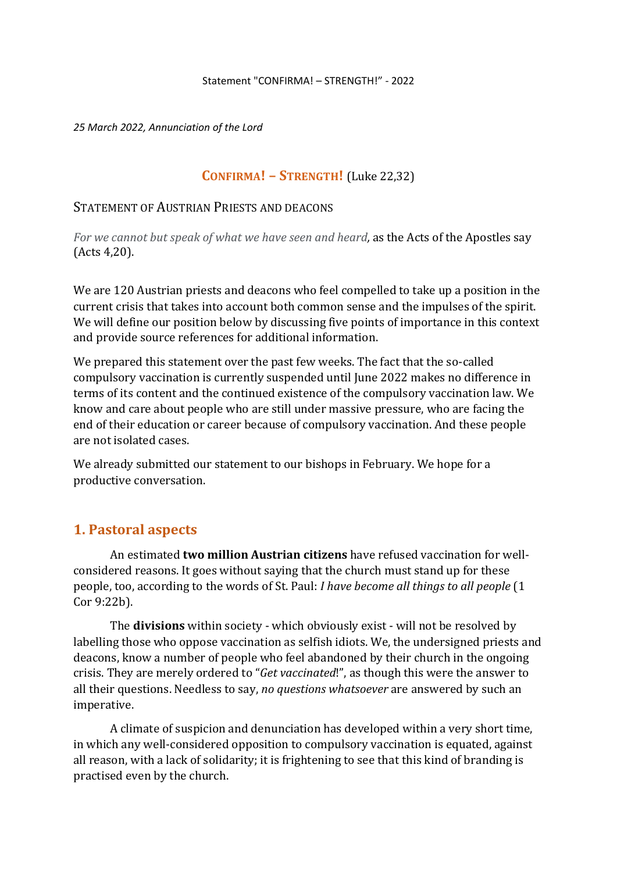*25 March 2022, Annunciation of the Lord*

### **CONFIRMA! – STRENGTH!** (Luke 22,32)

### STATEMENT OF AUSTRIAN PRIESTS AND DEACONS

*For we cannot but speak of what we have seen and heard,* as the Acts of the Apostles say (Acts 4,20).

We are 120 Austrian priests and deacons who feel compelled to take up a position in the current crisis that takes into account both common sense and the impulses of the spirit. We will define our position below by discussing five points of importance in this context and provide source references for additional information.

We prepared this statement over the past few weeks. The fact that the so-called compulsory vaccination is currently suspended until June 2022 makes no difference in terms of its content and the continued existence of the compulsory vaccination law. We know and care about people who are still under massive pressure, who are facing the end of their education or career because of compulsory vaccination. And these people are not isolated cases.

We already submitted our statement to our bishops in February. We hope for a productive conversation.

## **1. Pastoral aspects**

An estimated **two million Austrian citizens** have refused vaccination for wellconsidered reasons. It goes without saying that the church must stand up for these people, too, according to the words of St. Paul: *I have become all things to all people* (1 Cor 9:22b).

The **divisions** within society - which obviously exist - will not be resolved by labelling those who oppose vaccination as selfish idiots. We, the undersigned priests and deacons, know a number of people who feel abandoned by their church in the ongoing crisis. They are merely ordered to "*Get vaccinated*!", as though this were the answer to all their questions. Needless to say, *no questions whatsoever* are answered by such an imperative.

A climate of suspicion and denunciation has developed within a very short time, in which any well-considered opposition to compulsory vaccination is equated, against all reason, with a lack of solidarity; it is frightening to see that this kind of branding is practised even by the church.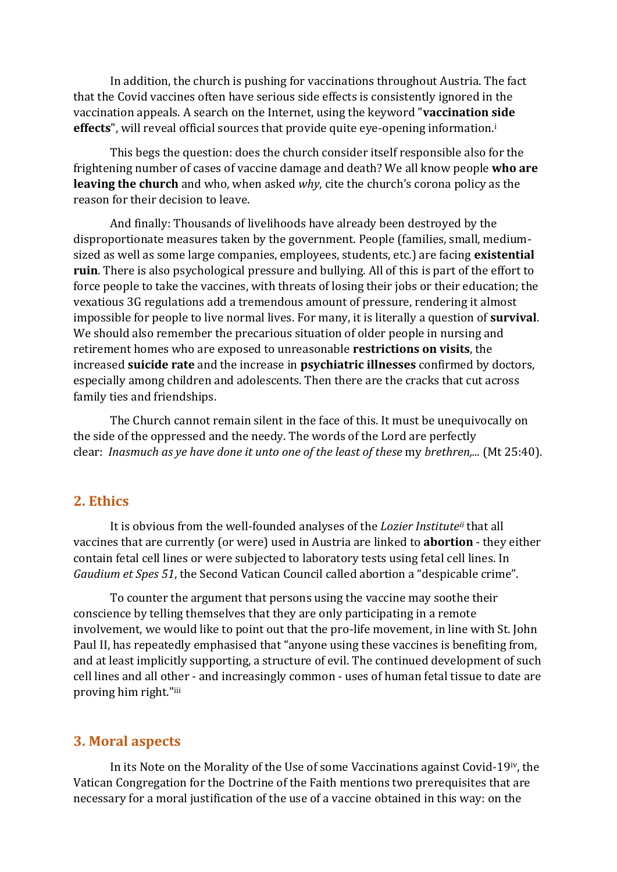In addition, the church is pushing for vaccinations throughout Austria. The fact that the Covid vaccines often have serious side effects is consistently ignored in the vaccination appeals. A search on the Internet, using the keyword "**vaccination side**  effects", will reveal official sources that provide quite eye-opening information.<sup>i</sup>

This begs the question: does the church consider itself responsible also for the frightening number of cases of vaccine damage and death? We all know people **who are leaving the church** and who, when asked *why*, cite the church's corona policy as the reason for their decision to leave.

And finally: Thousands of livelihoods have already been destroyed by the disproportionate measures taken by the government. People (families, small, mediumsized as well as some large companies, employees, students, etc.) are facing **existential ruin**. There is also psychological pressure and bullying. All of this is part of the effort to force people to take the vaccines, with threats of losing their jobs or their education; the vexatious 3G regulations add a tremendous amount of pressure, rendering it almost impossible for people to live normal lives. For many, it is literally a question of **survival**. We should also remember the precarious situation of older people in nursing and retirement homes who are exposed to unreasonable **restrictions on visits**, the increased **suicide rate** and the increase in **psychiatric illnesses** confirmed by doctors, especially among children and adolescents. Then there are the cracks that cut across family ties and friendships.

The Church cannot remain silent in the face of this. It must be unequivocally on the side of the oppressed and the needy. The words of the Lord are perfectly clear: *Inasmuch as ye have done it unto one of the least of these* my *brethren,...* (Mt 25:40).

### **2. Ethics**

It is obvious from the well-founded analyses of the *Lozier Institute ii* that all vaccines that are currently (or were) used in Austria are linked to **abortion** - they either contain fetal cell lines or were subjected to laboratory tests using fetal cell lines. In *Gaudium et Spes 51*, the Second Vatican Council called abortion a "despicable crime".

To counter the argument that persons using the vaccine may soothe their conscience by telling themselves that they are only participating in a remote involvement, we would like to point out that the pro-life movement, in line with St. John Paul II, has repeatedly emphasised that "anyone using these vaccines is benefiting from, and at least implicitly supporting, a structure of evil. The continued development of such cell lines and all other - and increasingly common - uses of human fetal tissue to date are proving him right."iii

#### **3. Moral aspects**

In its Note on the Morality of the Use of some Vaccinations against Covid-19iv, the Vatican Congregation for the Doctrine of the Faith mentions two prerequisites that are necessary for a moral justification of the use of a vaccine obtained in this way: on the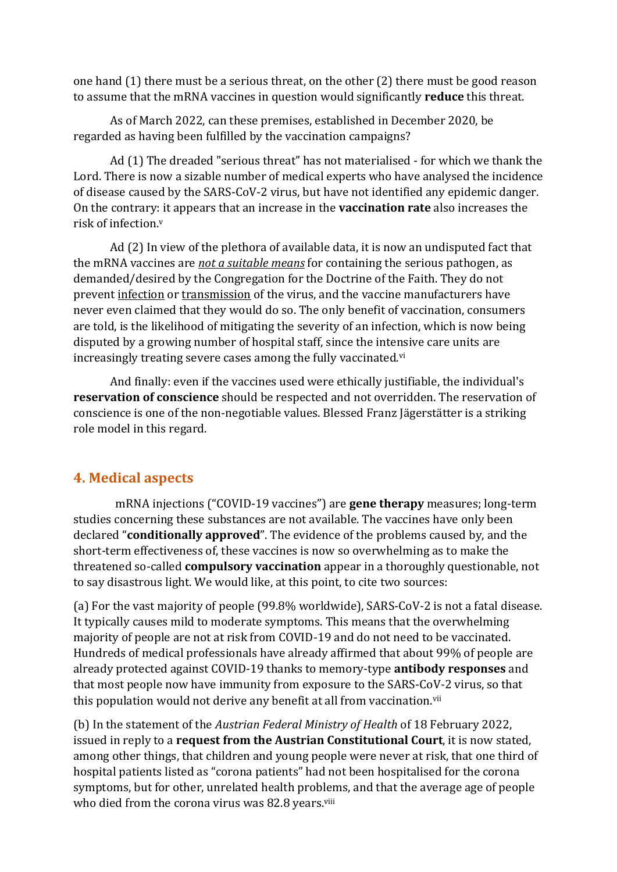one hand (1) there must be a serious threat, on the other (2) there must be good reason to assume that the mRNA vaccines in question would significantly **reduce** this threat.

As of March 2022, can these premises, established in December 2020, be regarded as having been fulfilled by the vaccination campaigns?

Ad (1) The dreaded "serious threat" has not materialised - for which we thank the Lord. There is now a sizable number of medical experts who have analysed the incidence of disease caused by the SARS-CoV-2 virus, but have not identified any epidemic danger. On the contrary: it appears that an increase in the **vaccination rate** also increases the risk of infection. v

Ad (2) In view of the plethora of available data, it is now an undisputed fact that the mRNA vaccines are *not a suitable means* for containing the serious pathogen, as demanded/desired by the Congregation for the Doctrine of the Faith. They do not prevent infection or transmission of the virus, and the vaccine manufacturers have never even claimed that they would do so. The only benefit of vaccination, consumers are told, is the likelihood of mitigating the severity of an infection, which is now being disputed by a growing number of hospital staff, since the intensive care units are increasingly treating severe cases among the fully vaccinated.<sup>vi</sup>

And finally: even if the vaccines used were ethically justifiable, the individual's **reservation of conscience** should be respected and not overridden. The reservation of conscience is one of the non-negotiable values. Blessed Franz Jägerstätter is a striking role model in this regard.

# **4. Medical aspects**

 mRNA injections ("COVID-19 vaccines") are **gene therapy** measures; long-term studies concerning these substances are not available. The vaccines have only been declared "**conditionally approved**". The evidence of the problems caused by, and the short-term effectiveness of, these vaccines is now so overwhelming as to make the threatened so-called **compulsory vaccination** appear in a thoroughly questionable, not to say disastrous light. We would like, at this point, to cite two sources:

(a) For the vast majority of people (99.8% worldwide), SARS-CoV-2 is not a fatal disease. It typically causes mild to moderate symptoms. This means that the overwhelming majority of people are not at risk from COVID-19 and do not need to be vaccinated. Hundreds of medical professionals have already affirmed that about 99% of people are already protected against COVID-19 thanks to memory-type **antibody responses** and that most people now have immunity from exposure to the SARS-CoV-2 virus, so that this population would not derive any benefit at all from vaccination.<sup>vii</sup>

(b) In the statement of the *Austrian Federal Ministry of Health* of 18 February 2022, issued in reply to a **request from the Austrian Constitutional Court**, it is now stated, among other things, that children and young people were never at risk, that one third of hospital patients listed as "corona patients" had not been hospitalised for the corona symptoms, but for other, unrelated health problems, and that the average age of people who died from the corona virus was 82.8 years.viii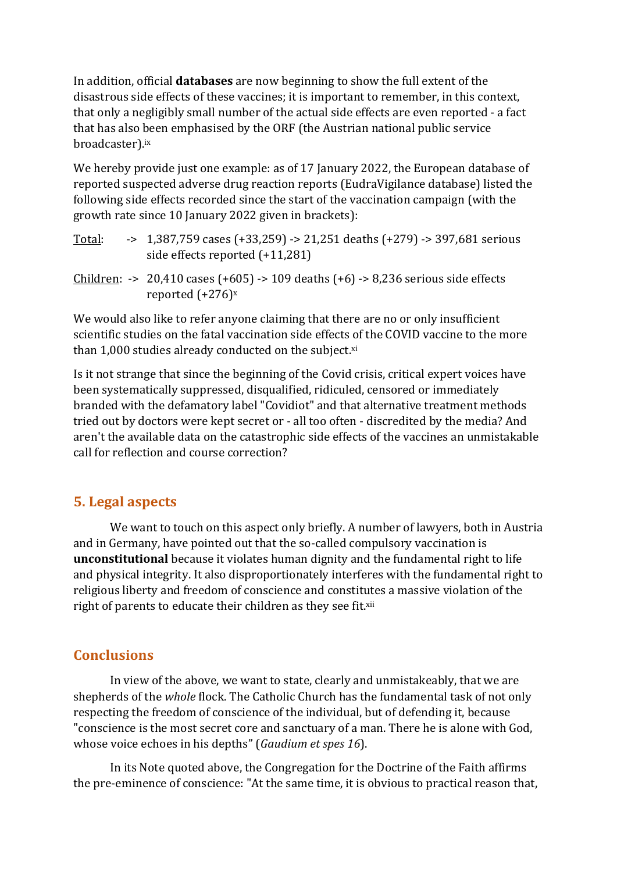In addition, official **databases** are now beginning to show the full extent of the disastrous side effects of these vaccines; it is important to remember, in this context, that only a negligibly small number of the actual side effects are even reported - a fact that has also been emphasised by the ORF (the Austrian national public service broadcaster). ix

We hereby provide just one example: as of 17 January 2022, the European database of reported suspected adverse drug reaction reports (EudraVigilance database) listed the following side effects recorded since the start of the vaccination campaign (with the growth rate since 10 January 2022 given in brackets):

| Total: | $-5$ 1,387,759 cases (+33,259) $-5$ 21,251 deaths (+279) $-5$ 397,681 serious<br>side effects reported $(+11,281)$ |
|--------|--------------------------------------------------------------------------------------------------------------------|
|        | Children: -> 20,410 cases $(+605)$ -> 109 deaths $(+6)$ -> 8,236 serious side effects<br>reported $(+276)^x$       |

We would also like to refer anyone claiming that there are no or only insufficient scientific studies on the fatal vaccination side effects of the COVID vaccine to the more than  $1,000$  studies already conducted on the subject. $x_i$ 

Is it not strange that since the beginning of the Covid crisis, critical expert voices have been systematically suppressed, disqualified, ridiculed, censored or immediately branded with the defamatory label "Covidiot" and that alternative treatment methods tried out by doctors were kept secret or - all too often - discredited by the media? And aren't the available data on the catastrophic side effects of the vaccines an unmistakable call for reflection and course correction?

# **5. Legal aspects**

We want to touch on this aspect only briefly. A number of lawyers, both in Austria and in Germany, have pointed out that the so-called compulsory vaccination is **unconstitutional** because it violates human dignity and the fundamental right to life and physical integrity. It also disproportionately interferes with the fundamental right to religious liberty and freedom of conscience and constitutes a massive violation of the right of parents to educate their children as they see fit.<sup>xii</sup>

# **Conclusions**

In view of the above, we want to state, clearly and unmistakeably, that we are shepherds of the *whole* flock. The Catholic Church has the fundamental task of not only respecting the freedom of conscience of the individual, but of defending it, because "conscience is the most secret core and sanctuary of a man. There he is alone with God, whose voice echoes in his depths" (*Gaudium et spes 16*).

In its Note quoted above, the Congregation for the Doctrine of the Faith affirms the pre-eminence of conscience: "At the same time, it is obvious to practical reason that,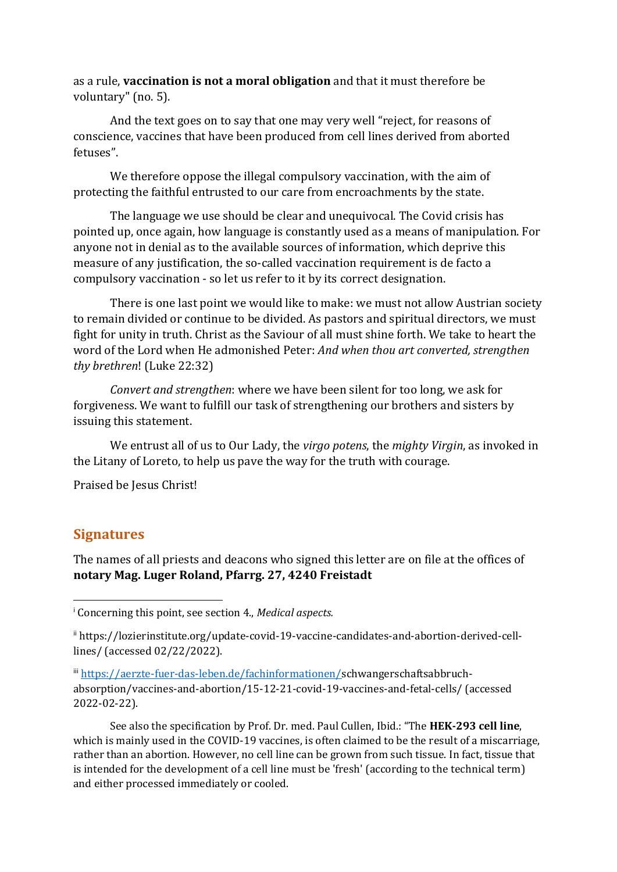as a rule, **vaccination is not a moral obligation** and that it must therefore be voluntary" (no. 5).

And the text goes on to say that one may very well "reject, for reasons of conscience, vaccines that have been produced from cell lines derived from aborted fetuses".

We therefore oppose the illegal compulsory vaccination, with the aim of protecting the faithful entrusted to our care from encroachments by the state.

The language we use should be clear and unequivocal. The Covid crisis has pointed up, once again, how language is constantly used as a means of manipulation. For anyone not in denial as to the available sources of information, which deprive this measure of any justification, the so-called vaccination requirement is de facto a compulsory vaccination - so let us refer to it by its correct designation.

There is one last point we would like to make: we must not allow Austrian society to remain divided or continue to be divided. As pastors and spiritual directors, we must fight for unity in truth. Christ as the Saviour of all must shine forth. We take to heart the word of the Lord when He admonished Peter: *And when thou art converted, strengthen thy brethren*! (Luke 22:32)

*Convert and strengthen*: where we have been silent for too long, we ask for forgiveness. We want to fulfill our task of strengthening our brothers and sisters by issuing this statement.

We entrust all of us to Our Lady, the *virgo potens*, the *mighty Virgin*, as invoked in the Litany of Loreto, to help us pave the way for the truth with courage.

Praised be Jesus Christ!

## **Signatures**

The names of all priests and deacons who signed this letter are on file at the offices of **notary Mag. Luger Roland, Pfarrg. 27, 4240 Freistadt**

See also the specification by Prof. Dr. med. Paul Cullen, Ibid.: "The **HEK-293 cell line**, which is mainly used in the COVID-19 vaccines, is often claimed to be the result of a miscarriage, rather than an abortion. However, no cell line can be grown from such tissue. In fact, tissue that is intended for the development of a cell line must be 'fresh' (according to the technical term) and either processed immediately or cooled.

<sup>i</sup> Concerning this point, see section 4., *Medical aspects.*

ii https://lozierinstitute.org/update-covid-19-vaccine-candidates-and-abortion-derived-celllines/ (accessed 02/22/2022).

iii [https://aerzte-fuer-das-leben.de/fachinformationen/s](https://aerzte-fuer-das-leben.de/fachinformationen/)chwangerschaftsabbruchabsorption/vaccines-and-abortion/15-12-21-covid-19-vaccines-and-fetal-cells/ (accessed 2022-02-22).